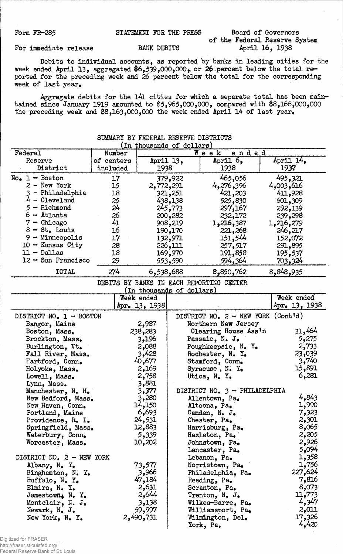| Form FR-285 | STATEMENT FOR THE PRESS |  |                               | Board of Governors |
|-------------|-------------------------|--|-------------------------------|--------------------|
|             |                         |  | of the Federal Reserve System |                    |

#### For immediate release BANK DEBITS

ederal Reserve System<br>April 16, 1938

Debits to individual accounts, as reported by banks in leading cities for the week ended April 13, aggregated  $6,539,000,000$ , or 26 percent below the total reported for the preceding week and 26 percent below the total for the corresponding week of last year.

Aggregate debits for the l4l cities for which a separate total has been maintained since January 1919 amounted to \$5,965,000,000, compared with \$8,166,000,000 the preceding week and #8,163,000,000 the week ended April l4 of last year.

| SUMMARY BY FEDERAL RESERVE DISTRICTS<br>(In thousands of dollars) |            |                           |           |                                          |               |
|-------------------------------------------------------------------|------------|---------------------------|-----------|------------------------------------------|---------------|
| Federal                                                           | Number     |                           |           | $W$ e e k<br><u>ended</u>                |               |
|                                                                   | of centers |                           |           | April 6,                                 | April 14,     |
| Reserve<br>District                                               | included   | 1938                      | April 13, | 1938                                     | 1937          |
|                                                                   |            |                           |           |                                          |               |
| $No_{\bullet}$ 1 - Boston                                         | 17         |                           | 379,922   | 465,056                                  | 495,321       |
| 2 - New York                                                      | 15         | 2,772,291                 |           | 4,276,396                                | 4,003,616     |
| 3 - Philadelphia                                                  | 18         |                           | 321,251   | 421,203                                  | 411,928       |
| $4 -$ Cleveland                                                   | 25         |                           | 438,138   | 525,830                                  | 601,309       |
| $5 -$ Richmond                                                    | 24         |                           | 245,773   | 297,167                                  | 292,139       |
| $6 -$ Atlanta                                                     | 26         |                           | 200,282   | 232,172                                  | 239,298       |
| $7 -$ Chicago                                                     | 41         |                           | 908,219   | 1,216,387                                | 1,216,279     |
| $8 - St$ . Louis                                                  | 16         |                           | 190,170   | 221,268                                  | 246,217       |
| 9 - Minneapolis                                                   | 17         |                           | 132,971   | 151,544                                  | 152,072       |
| $10 -$ Kansas City                                                | 28         |                           | 226,111   | 257,517                                  | 291,895       |
| $11 - Dallas$                                                     | 18         |                           | 169,970   | 191,858                                  | 195,537       |
| $12 -$ San Francisco                                              | 29         |                           | 553,590   | 594,364                                  | 703,324       |
|                                                                   |            |                           |           |                                          |               |
| TOTAL                                                             | 274        | 6,538,688                 |           | 8,850,762                                | 8,848,935     |
|                                                                   |            |                           |           | DEBITS BY BANKS IN EACH REPORTING CENTER |               |
|                                                                   |            | (In thousands of dollars) |           |                                          |               |
|                                                                   |            | Week ended                |           |                                          | Week ended    |
|                                                                   |            | Apr. 13, 1938             |           |                                          | Apr. 13, 1938 |
| DISTRICT NO. $1 -$ BOSTON                                         |            |                           |           | DISTRICT NO. $2$ - NEW YORK (Cont'd)     |               |
| Bangor, Maine                                                     |            | 2,987                     |           | Northern New Jersey                      |               |
| Boston, Mass.                                                     |            | 238,283                   |           | Clearing House Ass'n                     | 31,464        |
| Brockton, Mass.                                                   |            | 3,196                     |           | Passaic, N. J.                           | 5,275         |
| Burlington, Vt.                                                   |            | 2,088                     |           | Poughkeepsie, N. Y.                      | 2,733         |
| Fall River, Mass.                                                 |            | 3,428                     |           | Rochester, N. Y.                         | 23,039        |
| Hartford, Conn.                                                   |            | 40,677                    |           | Stamford, Conn.                          | 3,740         |
| Holyoke, Mass.                                                    |            | 2,169                     |           | Syracuse, $N$ . $Y$ .                    | 15,891        |
| Lowell, Mass.                                                     |            | 2,758                     |           | Utica, N. Y.                             | 6,281         |
| Lynn, Mass.                                                       |            | 3,881                     |           |                                          |               |
| Manchester, N. H.                                                 |            | 3,377                     |           | DISTRICT NO. 3 - PHILADELPHIA            |               |
| New Bedford, Mass.                                                |            | 3,280                     |           | Allentown, Pa.                           | 4,843         |
| New Haven, Conn.                                                  |            | 14,150                    |           | Altoona, Pa.                             | 1,990         |
| Portland, Maine                                                   |            | 6,693                     |           | Camden, N. J.                            | 7,323         |
| Providence, R. I.                                                 |            | 24,531                    |           | Chester, Pa.                             | 2,301         |
| Springfield, Mass.                                                |            | 12,883                    |           | Harrisburg, Pa.                          | 8,065         |
|                                                                   |            |                           |           |                                          | 2,205         |
| Waterbury, Conn.                                                  |            | 5,339                     |           | Hazleton, Pa.                            | 2,926         |
| Worcester, Mass.                                                  |            | 10,202                    |           | Johnstown, Pa.                           | 5,094         |
|                                                                   |            |                           |           | Lancaster, Pa.                           |               |
| DISTRICT NO. 2 - NEW YORK                                         |            |                           |           | Lebanon, Pa.                             | 1,358         |
| Albany, N. Y.                                                     |            | 73,577                    |           | Norristown, Pa.                          | 1,756         |
| Binghamton, N. Y.                                                 |            | 3,966                     |           | Philadelphia, Pa.                        | 227,624       |
| Buffalo, N. Y.                                                    |            | 47,184                    |           | Reading, Pa.                             | 7,816         |
| Elmira, N. Y.                                                     |            | 2,631                     |           | Scranton, Pa.                            | 8,073         |
| Jamestown, N. Y.                                                  |            | 2,644                     |           | Trenton, N. J.                           | 11,773        |
| Montclair, N. J.                                                  |            | 3,138                     |           | Wilkes-Barre, Pa.                        | 4,347         |
| Newark, $N_{\bullet}$ J.                                          |            | 59,997                    |           | Williamsport, Pa.                        | 2,011         |
| New York, $N_e$ , $Y_e$                                           |            | 2,490,731                 |           | Wilmington, Del.                         | 17,326        |
|                                                                   |            |                           |           | York, Pa.                                | 4,420         |

## SUMMARY DIE FEDERALE RESERVE DESCRIPTION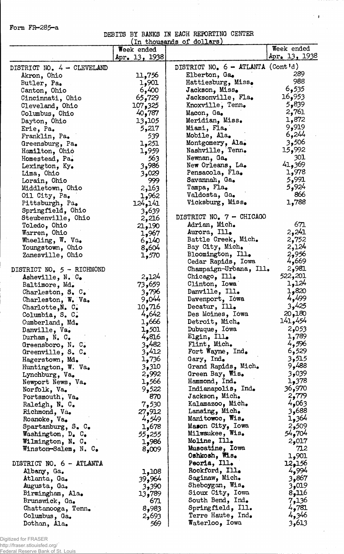Form FR-285-a

# DEBITS BY BANKS IN EACH REPORTING CENTER

 $\mathcal{L}_{\mathcal{A}}$ 

Ļ

 $\mathcal{F}(\mathbf{f})$  :

 $\bar{z}$ 

| (In thousands of dollars)                |                |                                             |                |  |  |
|------------------------------------------|----------------|---------------------------------------------|----------------|--|--|
|                                          | Week ended     |                                             | Week ended     |  |  |
|                                          | Apr. 13, 1938  |                                             | Apr. 13, 1938  |  |  |
| DISTRICT NO. 4 - CLEVELAND               |                | DISTRICT NO. $6 - \text{ATLANTA}$ (Cont'd)  |                |  |  |
| Akron, Ohio                              | 11,756         | Elberton, Ga.                               | 289            |  |  |
| Butler, Pa.                              | 1,901          | Hattiesburg, Miss.                          | 988            |  |  |
| Canton, Ohio                             | 6,400          | Jackson, Miss.                              | 6,535          |  |  |
| Cincinnati, Ohio                         | 65,729         | Jacksonville, Fla.                          | 16,953         |  |  |
| Cleveland, Ohio                          | 107,325        | Knoxville, Tenn.                            | 5,839          |  |  |
| Columbus, Ohio                           | 40,787         | Macon, Ga.                                  | 2,761          |  |  |
| Dayton, Ohio                             | 13,105         | Meridian, Miss.                             | 1,872          |  |  |
| Erie, Pa.                                | 5,217          | Miami, Fla.                                 | 9,919          |  |  |
| Franklin, Pa.                            | 539            | Mobile, Ala.                                | 6,244          |  |  |
| Greensburg, Pa.                          | 1,251          | Montgomery, Ala.                            | 3,506          |  |  |
| Hamilton, Ohio                           | 1,959          | Nashville, Tenn.                            | 15,992         |  |  |
| Homestead, Pa.                           | 563            | Newnan, Ga.                                 | 301            |  |  |
| Lexington, Ky.                           | 3,986          | New Orleans, La.                            | 41,369         |  |  |
| Lima, Ohio                               | 3,029          | Pensacola, Fla.                             | 1,978          |  |  |
| Lorain, Ohio                             | 999            | Savannah, Ga.                               | 5,991          |  |  |
| Middletown, Ohio                         | 2,163          | Tampa, Fla.                                 | 5,924          |  |  |
| Oil City, Pa.                            | 1,962          | Valdosta, Ga.                               | 866            |  |  |
| Pittsburgh, Pa.                          | 124,141        | Vicksburg, Miss.                            | 1,788          |  |  |
| Springfield, Ohio                        | 3,639          |                                             |                |  |  |
| Steubenville, Ohio                       | 2,216          | DISTRICT NO. 7 - CHICAGO                    |                |  |  |
| Toledo, Ohio                             | 21,190         | Adrian, Mich.                               | 671            |  |  |
| Warren, Ohio                             | 1,967          | Aurora, Ill.                                | 2,241          |  |  |
| Wheeling, $W. \text{ Va}_\bullet$        | 6,140          | Battle Creek, Mich.                         | 2,752          |  |  |
| Youngstown, Ohio                         | 8,604          | Bay City, Mich.                             | 2,124          |  |  |
| Zanesville, Ohio                         | 1,570          | Bloomington, Ill.                           | 2,956          |  |  |
|                                          |                | Cedar Rapids, Iowa                          | 4,669          |  |  |
| DISTRICT NO. 5 - RICHMOND                |                | Champaign-Urbana, Ill.                      | 2,981          |  |  |
| Asheville, N. C.                         | 2,124          | Chicago, Ill.                               | 522,201        |  |  |
| Baltimore, Md.                           | 73,659         | Clinton, Iowa                               | 1,124          |  |  |
| Charleston, $S$ . $C$ .                  | 3,796          | Danville, Ill.                              | 1,820          |  |  |
| Charleston, W. Va.                       | 9,044          | Davenport, Iowa                             | 4,499<br>3,425 |  |  |
| Charlotte, N. C.                         | 10,716         | Decatur, Ill.                               |                |  |  |
| Columbia, S. C.                          | 4,642          | Des Moines, Iowa                            | 20,180         |  |  |
| Cumberland, Md.                          | 1,666          | Detroit, Mich.                              | 141,454        |  |  |
| Danville, Va.                            | 1,501          | Dubuque, Iowa                               | 2,053<br>1,789 |  |  |
| Durham, N. C.                            | 4,816          | Elgin, Ill.                                 | 4,596          |  |  |
| Greensboro, N. $C_{\bullet}$             | 3,482<br>3,412 | Flint, Mich.<br>Fort Wayne, $Ind_{\bullet}$ | 6,529          |  |  |
| Greenville, $S_{\bullet}$ $C_{\bullet}$  | 1,736          | Gary, Ind.                                  | 3,515          |  |  |
| Hagerstown, Md.                          | 3,310          | Grand Rapids, Mich.                         | 9,488          |  |  |
| Huntington, W. Va.                       | 2,992          | Green Bay, Wis.                             | 3,039          |  |  |
| Lynchburg, Va.<br>Newport News, Va.      | 1,566          | Hammond, Ind.                               | 1,378          |  |  |
| Norfolk, Va.                             | 9,522          | Indianapolis, Ind.                          | 970و36         |  |  |
| Portsmouth, Va.                          | 870            | Jackson, Mich.                              | 2,779          |  |  |
| Raleigh, N. C.                           | 7,530          | Kalamazoo, Mich.                            | 4,063          |  |  |
| Richmond, Va.                            | 27,912         | Lansing, Mich.                              | 3,688          |  |  |
| Roanoke, Va.                             | 4,549          | Manitowoc, Wis.                             | 1,364          |  |  |
| Spartanburg, $S_{\bullet}$ $C_{\bullet}$ | 1,678          | Mason City, Iowa                            | 2,509          |  |  |
| Washington, D. C.                        | 55,255         | Milwaukee, Wis.                             | 54,704         |  |  |
| Wilmington, N. C.                        | 1,986          | Moline, Ill.                                | 2,017          |  |  |
| Winston-Salem, N. C.                     | 8,009          | Muscatine, Iowa                             | 712            |  |  |
|                                          |                | Oshkosh, Wis.                               | 1,901          |  |  |
| DISTRICT NO. 6 - ATLANTA                 |                | Peoria, Ill.                                | 12,156         |  |  |
| Albany, Ga.                              | 1,108          | Rockford, Ill.                              | 4,994          |  |  |
| Atlanta, Ga.                             | 39,964         | Saginaw, Mich.                              | 3,867          |  |  |
| Augusta, Ga.                             | 3,390          | Sheboygan, Wis.                             | 3,019          |  |  |
| Birmingham, Ala.                         | 13,789         | Sioux City, Iowa                            | 8,116          |  |  |
| Brunswick, Ga.                           | 671            | South Bend, Ind.                            | 7,136          |  |  |
| Chattanooga, Tenn.                       | 8,983          | Springfield, Ill.                           | 4,781          |  |  |
| Columbus, Ga.                            | 2,693          | Terre Haute, Ind.                           | 4,346          |  |  |
| Dothan, Ala.                             | 569            | <b>Waterloo, Iowa</b>                       | 3,613          |  |  |

Digitized for FRASER http://fraser.stlouisfed.org/ Federal Reserve Bank of St. Louis